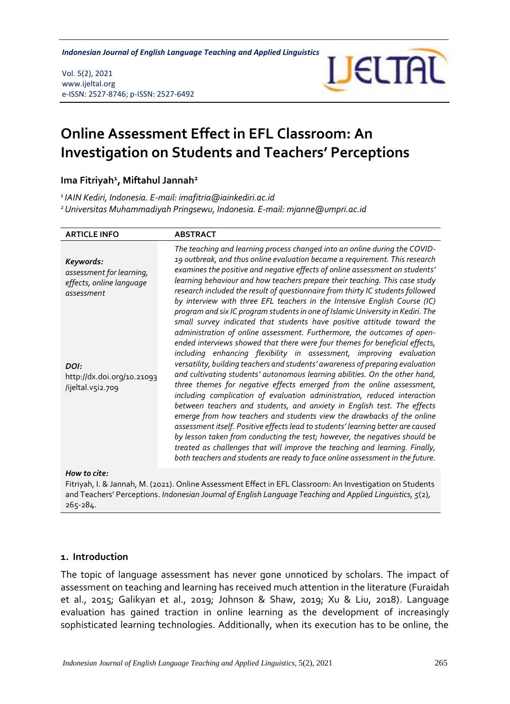**Indonesian Journal of English Language Teaching and Applied Linguistics** 

Vol. 5(2), 2021 www.ijeltal.org e-ISSN: 2527-8746; p-ISSN: 2527-6492



# **Online Assessment Effect in EFL Classroom: An Investigation on Students and Teachers' Perceptions**

**Ima Fitriyah<sup>1</sup> , Miftahul Jannah<sup>2</sup>**

*<sup>1</sup>IAIN Kediri, Indonesia. E-mail: imafitria@iainkediri.ac.id <sup>2</sup>Universitas Muhammadiyah Pringsewu, Indonesia. E-mail: mjanne@umpri.ac.id*

| <b>ARTICLE INFO</b>                                                             | <b>ABSTRACT</b>                                                                                                                                                                                                                                                                                                                                                                                                                                                                                                                                                                                                                                                                                                                                                                                                                                                                                                                                                                                                                                                                                                      |
|---------------------------------------------------------------------------------|----------------------------------------------------------------------------------------------------------------------------------------------------------------------------------------------------------------------------------------------------------------------------------------------------------------------------------------------------------------------------------------------------------------------------------------------------------------------------------------------------------------------------------------------------------------------------------------------------------------------------------------------------------------------------------------------------------------------------------------------------------------------------------------------------------------------------------------------------------------------------------------------------------------------------------------------------------------------------------------------------------------------------------------------------------------------------------------------------------------------|
| Keywords:<br>assessment for learning,<br>effects, online language<br>assessment | The teaching and learning process changed into an online during the COVID-<br>19 outbreak, and thus online evaluation became a requirement. This research<br>examines the positive and negative effects of online assessment on students'<br>learning behaviour and how teachers prepare their teaching. This case study<br>research included the result of questionnaire from thirty IC students followed<br>by interview with three EFL teachers in the Intensive English Course (IC)<br>program and six IC program students in one of Islamic University in Kediri. The                                                                                                                                                                                                                                                                                                                                                                                                                                                                                                                                           |
| DOI:<br>http://dx.doi.org/10.21093<br>/ijeltal.v5i2.709                         | small survey indicated that students have positive attitude toward the<br>administration of online assessment. Furthermore, the outcomes of open-<br>ended interviews showed that there were four themes for beneficial effects,<br>including enhancing flexibility in assessment, improving evaluation<br>versatility, building teachers and students' awareness of preparing evaluation<br>and cultivating students' autonomous learning abilities. On the other hand,<br>three themes for negative effects emerged from the online assessment,<br>including complication of evaluation administration, reduced interaction<br>between teachers and students, and anxiety in English test. The effects<br>emerge from how teachers and students view the drawbacks of the online<br>assessment itself. Positive effects lead to students' learning better are caused<br>by lesson taken from conducting the test; however, the negatives should be<br>treated as challenges that will improve the teaching and learning. Finally,<br>both teachers and students are ready to face online assessment in the future. |
| $11 - 11$                                                                       |                                                                                                                                                                                                                                                                                                                                                                                                                                                                                                                                                                                                                                                                                                                                                                                                                                                                                                                                                                                                                                                                                                                      |

*How to cite:*

Fitriyah, I. & Jannah, M. (2021). Online Assessment Effect in EFL Classroom: An Investigation on Students and Teachers' Perceptions. *Indonesian Journal of English Language Teaching and Applied Linguistics, 5*(2), 265-284.

#### **1. Introduction**

The topic of language assessment has never gone unnoticed by scholars. The impact of assessment on teaching and learning has received much attention in the literature (Furaidah et al., 2015; Galikyan et al., 2019; Johnson & Shaw, 2019; Xu & Liu, 2018). Language evaluation has gained traction in online learning as the development of increasingly sophisticated learning technologies. Additionally, when its execution has to be online, the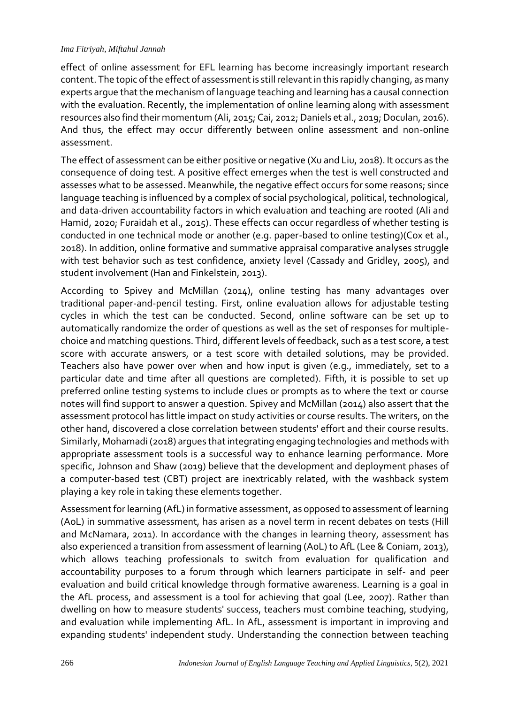#### *Ima Fitriyah, Miftahul Jannah*

effect of online assessment for EFL learning has become increasingly important research content. The topic of the effect of assessment is still relevant in this rapidly changing, as many experts argue that the mechanism of language teaching and learning has a causal connection with the evaluation. Recently, the implementation of online learning along with assessment resources also find their momentum (Ali, 2015; Cai, 2012; Daniels et al., 2019; Doculan, 2016). And thus, the effect may occur differently between online assessment and non-online assessment.

The effect of assessment can be either positive or negative (Xu and Liu, 2018). It occurs as the consequence of doing test. A positive effect emerges when the test is well constructed and assesses what to be assessed. Meanwhile, the negative effect occurs for some reasons; since language teaching is influenced by a complex of social psychological, political, technological, and data-driven accountability factors in which evaluation and teaching are rooted (Ali and Hamid, 2020; Furaidah et al., 2015). These effects can occur regardless of whether testing is conducted in one technical mode or another (e.g. paper-based to online testing)(Cox et al., 2018). In addition, online formative and summative appraisal comparative analyses struggle with test behavior such as test confidence, anxiety level (Cassady and Gridley, 2005), and student involvement (Han and Finkelstein, 2013).

According to Spivey and McMillan (2014), online testing has many advantages over traditional paper-and-pencil testing. First, online evaluation allows for adjustable testing cycles in which the test can be conducted. Second, online software can be set up to automatically randomize the order of questions as well as the set of responses for multiplechoice and matching questions. Third, different levels of feedback, such as a test score, a test score with accurate answers, or a test score with detailed solutions, may be provided. Teachers also have power over when and how input is given (e.g., immediately, set to a particular date and time after all questions are completed). Fifth, it is possible to set up preferred online testing systems to include clues or prompts as to where the text or course notes will find support to answer a question. Spivey and McMillan (2014) also assert that the assessment protocol has little impact on study activities or course results. The writers, on the other hand, discovered a close correlation between students' effort and their course results. Similarly, Mohamadi (2018) argues that integrating engaging technologies and methods with appropriate assessment tools is a successful way to enhance learning performance. More specific, Johnson and Shaw (2019) believe that the development and deployment phases of a computer-based test (CBT) project are inextricably related, with the washback system playing a key role in taking these elements together.

Assessment for learning (AfL) in formative assessment, as opposed to assessment of learning (AoL) in summative assessment, has arisen as a novel term in recent debates on tests (Hill and McNamara, 2011). In accordance with the changes in learning theory, assessment has also experienced a transition from assessment of learning (AoL) to AfL (Lee & Coniam, 2013), which allows teaching professionals to switch from evaluation for qualification and accountability purposes to a forum through which learners participate in self- and peer evaluation and build critical knowledge through formative awareness. Learning is a goal in the AfL process, and assessment is a tool for achieving that goal (Lee, 2007). Rather than dwelling on how to measure students' success, teachers must combine teaching, studying, and evaluation while implementing AfL. In AfL, assessment is important in improving and expanding students' independent study. Understanding the connection between teaching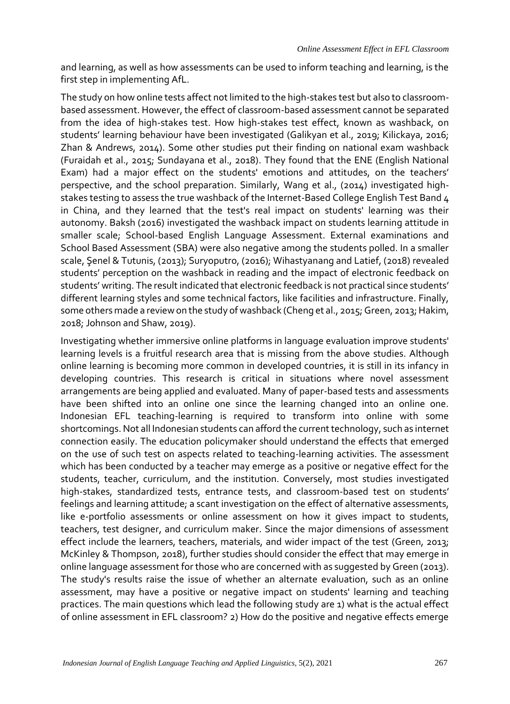and learning, as well as how assessments can be used to inform teaching and learning, is the first step in implementing AfL.

The study on how online tests affect not limited to the high-stakes test but also to classroombased assessment. However, the effect of classroom-based assessment cannot be separated from the idea of high-stakes test. How high-stakes test effect, known as washback, on students' learning behaviour have been investigated (Galikyan et al., 2019; Kilickaya, 2016; Zhan & Andrews, 2014). Some other studies put their finding on national exam washback (Furaidah et al., 2015; Sundayana et al., 2018). They found that the ENE (English National Exam) had a major effect on the students' emotions and attitudes, on the teachers' perspective, and the school preparation. Similarly, Wang et al., (2014) investigated highstakes testing to assess the true washback of the Internet-Based College English Test Band 4 in China, and they learned that the test's real impact on students' learning was their autonomy. Baksh (2016) investigated the washback impact on students learning attitude in smaller scale; School-based English Language Assessment. External examinations and School Based Assessment (SBA) were also negative among the students polled. In a smaller scale, Şenel & Tutunis, (2013); Suryoputro, (2016); Wihastyanang and Latief, (2018) revealed students' perception on the washback in reading and the impact of electronic feedback on students' writing. The result indicated that electronic feedback is not practical since students' different learning styles and some technical factors, like facilities and infrastructure. Finally, some others made a review on the study of washback (Cheng et al., 2015; Green, 2013; Hakim, 2018; Johnson and Shaw, 2019).

Investigating whether immersive online platforms in language evaluation improve students' learning levels is a fruitful research area that is missing from the above studies. Although online learning is becoming more common in developed countries, it is still in its infancy in developing countries. This research is critical in situations where novel assessment arrangements are being applied and evaluated. Many of paper-based tests and assessments have been shifted into an online one since the learning changed into an online one. Indonesian EFL teaching-learning is required to transform into online with some shortcomings. Not all Indonesian students can afford the current technology, such as internet connection easily. The education policymaker should understand the effects that emerged on the use of such test on aspects related to teaching-learning activities. The assessment which has been conducted by a teacher may emerge as a positive or negative effect for the students, teacher, curriculum, and the institution. Conversely, most studies investigated high-stakes, standardized tests, entrance tests, and classroom-based test on students' feelings and learning attitude; a scant investigation on the effect of alternative assessments, like e-portfolio assessments or online assessment on how it gives impact to students, teachers, test designer, and curriculum maker. Since the major dimensions of assessment effect include the learners, teachers, materials, and wider impact of the test (Green, 2013; McKinley & Thompson, 2018), further studies should consider the effect that may emerge in online language assessment for those who are concerned with as suggested by Green (2013). The study's results raise the issue of whether an alternate evaluation, such as an online assessment, may have a positive or negative impact on students' learning and teaching practices. The main questions which lead the following study are 1) what is the actual effect of online assessment in EFL classroom? 2) How do the positive and negative effects emerge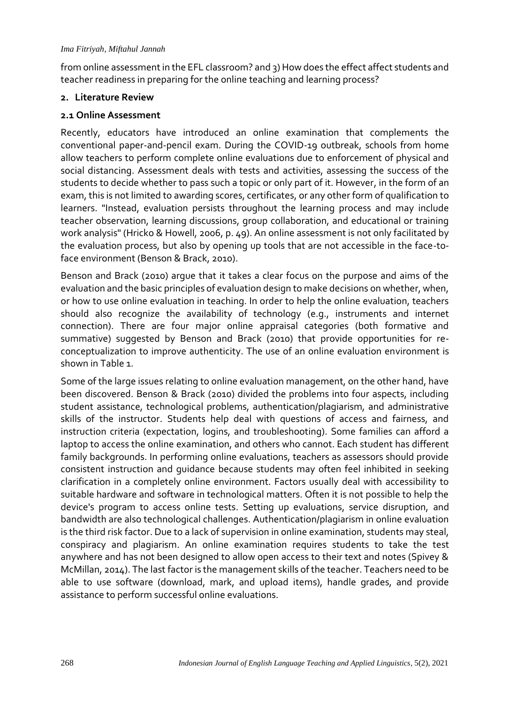#### *Ima Fitriyah, Miftahul Jannah*

from online assessment in the EFL classroom? and 3) How does the effect affect students and teacher readiness in preparing for the online teaching and learning process?

#### **2. Literature Review**

#### **2.1 Online Assessment**

Recently, educators have introduced an online examination that complements the conventional paper-and-pencil exam. During the COVID-19 outbreak, schools from home allow teachers to perform complete online evaluations due to enforcement of physical and social distancing. Assessment deals with tests and activities, assessing the success of the students to decide whether to pass such a topic or only part of it. However, in the form of an exam, this is not limited to awarding scores, certificates, or any other form of qualification to learners. "Instead, evaluation persists throughout the learning process and may include teacher observation, learning discussions, group collaboration, and educational or training work analysis" (Hricko & Howell, 2006, p. 49). An online assessment is not only facilitated by the evaluation process, but also by opening up tools that are not accessible in the face-toface environment (Benson & Brack, 2010).

Benson and Brack (2010) argue that it takes a clear focus on the purpose and aims of the evaluation and the basic principles of evaluation design to make decisions on whether, when, or how to use online evaluation in teaching. In order to help the online evaluation, teachers should also recognize the availability of technology (e.g., instruments and internet connection). There are four major online appraisal categories (both formative and summative) suggested by Benson and Brack (2010) that provide opportunities for reconceptualization to improve authenticity. The use of an online evaluation environment is shown in Table 1.

Some of the large issues relating to online evaluation management, on the other hand, have been discovered. Benson & Brack (2010) divided the problems into four aspects, including student assistance, technological problems, authentication/plagiarism, and administrative skills of the instructor. Students help deal with questions of access and fairness, and instruction criteria (expectation, logins, and troubleshooting). Some families can afford a laptop to access the online examination, and others who cannot. Each student has different family backgrounds. In performing online evaluations, teachers as assessors should provide consistent instruction and guidance because students may often feel inhibited in seeking clarification in a completely online environment. Factors usually deal with accessibility to suitable hardware and software in technological matters. Often it is not possible to help the device's program to access online tests. Setting up evaluations, service disruption, and bandwidth are also technological challenges. Authentication/plagiarism in online evaluation is the third risk factor. Due to a lack of supervision in online examination, students may steal, conspiracy and plagiarism. An online examination requires students to take the test anywhere and has not been designed to allow open access to their text and notes (Spivey & McMillan, 2014). The last factor is the management skills of the teacher. Teachers need to be able to use software (download, mark, and upload items), handle grades, and provide assistance to perform successful online evaluations.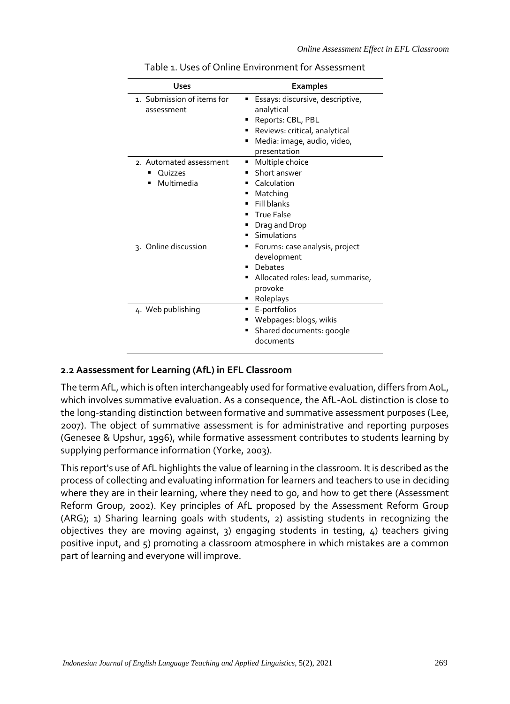| <b>Uses</b>                                                | <b>Examples</b>                                                                                                                                          |
|------------------------------------------------------------|----------------------------------------------------------------------------------------------------------------------------------------------------------|
| 1. Submission of items for<br>assessment                   | Essays: discursive, descriptive,<br>٠<br>analytical<br>Reports: CBL, PBL<br>Reviews: critical, analytical<br>Media: image, audio, video,<br>presentation |
| 2. Automated assessment<br>Quizzes<br>٠<br>Multimedia<br>٠ | Multiple choice<br>٠<br>Short answer<br>Calculation<br>Matching<br>Fill blanks<br><b>True False</b><br>Drag and Drop<br>Simulations                      |
| 3. Online discussion                                       | Forums: case analysis, project<br>٠<br>development<br>Debates<br>Allocated roles: lead, summarise,<br>٠<br>provoke<br>Roleplays                          |
| 4. Web publishing                                          | E-portfolios<br>٠<br>Webpages: blogs, wikis<br>Shared documents: google<br>documents                                                                     |

Table 1. Uses of Online Environment for Assessment

#### **2.2 Aassessment for Learning (AfL) in EFL Classroom**

The term AfL, which is often interchangeably used for formative evaluation, differs from AoL, which involves summative evaluation. As a consequence, the AfL-AoL distinction is close to the long-standing distinction between formative and summative assessment purposes (Lee, 2007). The object of summative assessment is for administrative and reporting purposes (Genesee & Upshur, 1996), while formative assessment contributes to students learning by supplying performance information (Yorke, 2003).

This report's use of AfL highlights the value of learning in the classroom. It is described as the process of collecting and evaluating information for learners and teachers to use in deciding where they are in their learning, where they need to go, and how to get there (Assessment Reform Group, 2002). Key principles of AfL proposed by the Assessment Reform Group (ARG); 1) Sharing learning goals with students, 2) assisting students in recognizing the objectives they are moving against, 3) engaging students in testing, 4) teachers giving positive input, and 5) promoting a classroom atmosphere in which mistakes are a common part of learning and everyone will improve.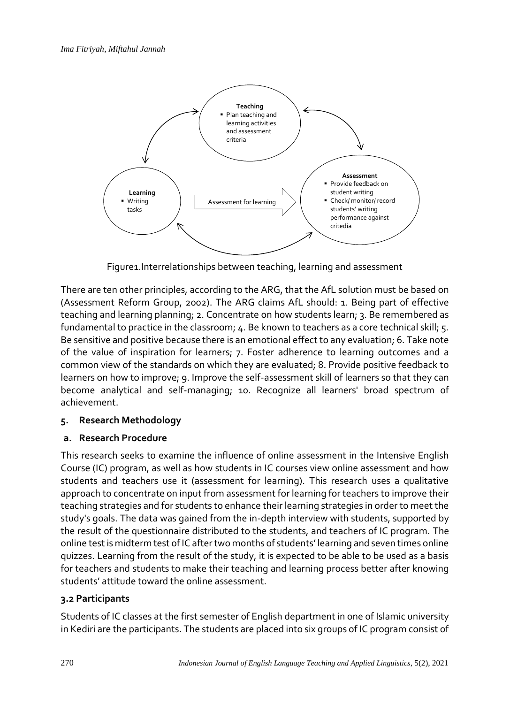

Figure1.Interrelationships between teaching, learning and assessment

There are ten other principles, according to the ARG, that the AfL solution must be based on (Assessment Reform Group, 2002). The ARG claims AfL should: 1. Being part of effective teaching and learning planning; 2. Concentrate on how students learn; 3. Be remembered as fundamental to practice in the classroom; 4. Be known to teachers as a core technical skill; 5. Be sensitive and positive because there is an emotional effect to any evaluation; 6. Take note of the value of inspiration for learners; 7. Foster adherence to learning outcomes and a common view of the standards on which they are evaluated; 8. Provide positive feedback to learners on how to improve; 9. Improve the self-assessment skill of learners so that they can become analytical and self-managing; 10. Recognize all learners' broad spectrum of achievement.

# **5. Research Methodology**

# **a. Research Procedure**

This research seeks to examine the influence of online assessment in the Intensive English Course (IC) program, as well as how students in IC courses view online assessment and how students and teachers use it (assessment for learning). This research uses a qualitative approach to concentrate on input from assessment for learning for teachers to improve their teaching strategies and for students to enhance their learning strategies in order to meet the study's goals. The data was gained from the in-depth interview with students, supported by the result of the questionnaire distributed to the students, and teachers of IC program. The online test is midterm test of IC after two months of students' learning and seven times online quizzes. Learning from the result of the study, it is expected to be able to be used as a basis for teachers and students to make their teaching and learning process better after knowing students' attitude toward the online assessment.

# **3.2 Participants**

Students of IC classes at the first semester of English department in one of Islamic university in Kediri are the participants. The students are placed into six groups of IC program consist of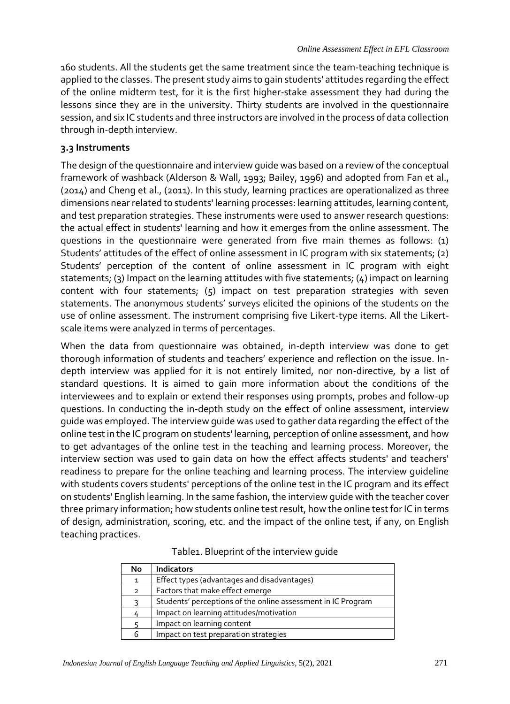160 students. All the students get the same treatment since the team-teaching technique is applied to the classes. The present study aims to gain students' attitudes regarding the effect of the online midterm test, for it is the first higher-stake assessment they had during the lessons since they are in the university. Thirty students are involved in the questionnaire session, and six IC students and three instructors are involved in the process of data collection through in-depth interview.

#### **3.3 Instruments**

The design of the questionnaire and interview guide was based on a review of the conceptual framework of washback (Alderson & Wall, 1993; Bailey, 1996) and adopted from Fan et al., (2014) and Cheng et al., (2011). In this study, learning practices are operationalized as three dimensions near related to students' learning processes: learning attitudes, learning content, and test preparation strategies. These instruments were used to answer research questions: the actual effect in students' learning and how it emerges from the online assessment. The questions in the questionnaire were generated from five main themes as follows: (1) Students' attitudes of the effect of online assessment in IC program with six statements; (2) Students' perception of the content of online assessment in IC program with eight statements; (3) Impact on the learning attitudes with five statements; (4) impact on learning content with four statements; (5) impact on test preparation strategies with seven statements. The anonymous students' surveys elicited the opinions of the students on the use of online assessment. The instrument comprising five Likert-type items. All the Likertscale items were analyzed in terms of percentages.

When the data from questionnaire was obtained, in-depth interview was done to get thorough information of students and teachers' experience and reflection on the issue. Indepth interview was applied for it is not entirely limited, nor non-directive, by a list of standard questions. It is aimed to gain more information about the conditions of the interviewees and to explain or extend their responses using prompts, probes and follow-up questions. In conducting the in-depth study on the effect of online assessment, interview guide was employed. The interview guide was used to gather data regarding the effect of the online test in the IC program on students' learning, perception of online assessment, and how to get advantages of the online test in the teaching and learning process. Moreover, the interview section was used to gain data on how the effect affects students' and teachers' readiness to prepare for the online teaching and learning process. The interview guideline with students covers students' perceptions of the online test in the IC program and its effect on students' English learning. In the same fashion, the interview guide with the teacher cover three primary information; how students online test result, how the online test for IC in terms of design, administration, scoring, etc. and the impact of the online test, if any, on English teaching practices.

| No             | <b>Indicators</b>                                            |
|----------------|--------------------------------------------------------------|
| $\mathbf{1}$   | Effect types (advantages and disadvantages)                  |
| $\overline{2}$ | Factors that make effect emerge                              |
|                | Students' perceptions of the online assessment in IC Program |
| 4              | Impact on learning attitudes/motivation                      |
|                | Impact on learning content                                   |
| 6              | Impact on test preparation strategies                        |

| Table1. Blueprint of the interview guide |  |  |  |  |  |
|------------------------------------------|--|--|--|--|--|
|------------------------------------------|--|--|--|--|--|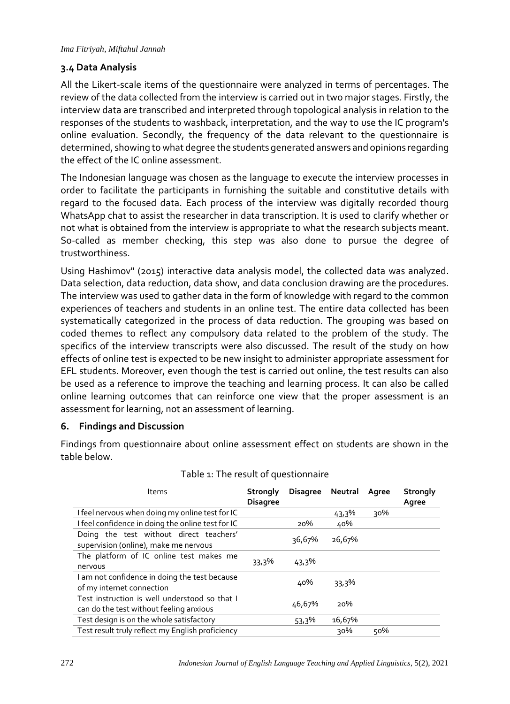# **3.4 Data Analysis**

All the Likert-scale items of the questionnaire were analyzed in terms of percentages. The review of the data collected from the interview is carried out in two major stages. Firstly, the interview data are transcribed and interpreted through topological analysis in relation to the responses of the students to washback, interpretation, and the way to use the IC program's online evaluation. Secondly, the frequency of the data relevant to the questionnaire is determined, showing to what degree the students generated answers and opinions regarding the effect of the IC online assessment.

The Indonesian language was chosen as the language to execute the interview processes in order to facilitate the participants in furnishing the suitable and constitutive details with regard to the focused data. Each process of the interview was digitally recorded thourg WhatsApp chat to assist the researcher in data transcription. It is used to clarify whether or not what is obtained from the interview is appropriate to what the research subjects meant. So-called as member checking, this step was also done to pursue the degree of trustworthiness.

Using Hashimov" (2015) interactive data analysis model, the collected data was analyzed. Data selection, data reduction, data show, and data conclusion drawing are the procedures. The interview was used to gather data in the form of knowledge with regard to the common experiences of teachers and students in an online test. The entire data collected has been systematically categorized in the process of data reduction. The grouping was based on coded themes to reflect any compulsory data related to the problem of the study. The specifics of the interview transcripts were also discussed. The result of the study on how effects of online test is expected to be new insight to administer appropriate assessment for EFL students. Moreover, even though the test is carried out online, the test results can also be used as a reference to improve the teaching and learning process. It can also be called online learning outcomes that can reinforce one view that the proper assessment is an assessment for learning, not an assessment of learning.

# **6. Findings and Discussion**

Findings from questionnaire about online assessment effect on students are shown in the table below.

| Items                                                                                    | Strongly<br><b>Disagree</b> | <b>Disagree</b> | Neutral  | Agree | Strongly<br>Agree |
|------------------------------------------------------------------------------------------|-----------------------------|-----------------|----------|-------|-------------------|
| I feel nervous when doing my online test for IC                                          |                             |                 | $43,3\%$ | 30%   |                   |
| I feel confidence in doing the online test for IC                                        |                             | 20%             | 40%      |       |                   |
| Doing the test without direct teachers'<br>supervision (online), make me nervous         |                             | 36,67%          | 26,67%   |       |                   |
| The platform of IC online test makes me<br>nervous                                       | 33,3%                       | $43,3\%$        |          |       |                   |
| I am not confidence in doing the test because<br>of my internet connection               |                             | 40%             | 33,3%    |       |                   |
| Test instruction is well understood so that I<br>can do the test without feeling anxious |                             | 46,67%          | 20%      |       |                   |
| Test design is on the whole satisfactory                                                 |                             | 53,3%           | 16,67%   |       |                   |
| Test result truly reflect my English proficiency                                         |                             |                 | 30%      | 50%   |                   |

#### Table 1: The result of questionnaire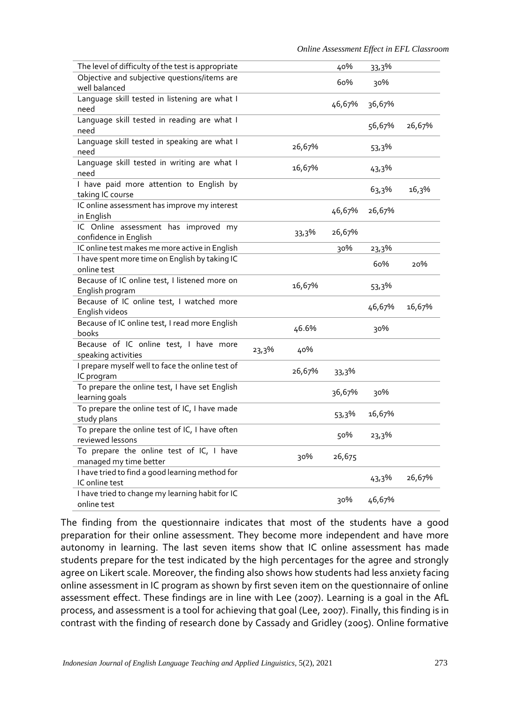| The level of difficulty of the test is appropriate                 |       |        | 40%    | 33,3%    |        |
|--------------------------------------------------------------------|-------|--------|--------|----------|--------|
| Objective and subjective questions/items are<br>well balanced      |       |        | 60%    | 30%      |        |
| Language skill tested in listening are what I<br>need              |       |        | 46,67% | 36,67%   |        |
| Language skill tested in reading are what I<br>need                |       |        |        | 56,67%   | 26,67% |
| Language skill tested in speaking are what I<br>need               |       | 26,67% |        | 53,3%    |        |
| Language skill tested in writing are what I<br>need                |       | 16,67% |        | 43,3%    |        |
| I have paid more attention to English by<br>taking IC course       |       |        |        | 63,3%    | 16,3%  |
| IC online assessment has improve my interest<br>in English         |       |        | 46,67% | 26,67%   |        |
| IC Online assessment has improved my<br>confidence in English      |       | 33,3%  | 26,67% |          |        |
| IC online test makes me more active in English                     |       |        | 30%    | 23,3%    |        |
| I have spent more time on English by taking IC<br>online test      |       |        |        | 60%      | 20%    |
| Because of IC online test, I listened more on<br>English program   |       | 16,67% |        | 53,3%    |        |
| Because of IC online test, I watched more<br>English videos        |       |        |        | 46,67%   | 16,67% |
| Because of IC online test, I read more English<br>books            |       | 46.6%  |        | 30%      |        |
| Because of IC online test, I have more<br>speaking activities      | 23,3% | 40%    |        |          |        |
| I prepare myself well to face the online test of<br>IC program     |       | 26,67% | 33,3%  |          |        |
| To prepare the online test, I have set English<br>learning goals   |       |        | 36,67% | 30%      |        |
| To prepare the online test of IC, I have made<br>study plans       |       |        | 53,3%  | 16,67%   |        |
| To prepare the online test of IC, I have often<br>reviewed lessons |       |        | 50%    | 23,3%    |        |
| To prepare the online test of IC, I have<br>managed my time better |       | 30%    | 26,675 |          |        |
| I have tried to find a good learning method for<br>IC online test  |       |        |        | $43,3\%$ | 26,67% |
| I have tried to change my learning habit for IC<br>online test     |       |        | 30%    | 46,67%   |        |

The finding from the questionnaire indicates that most of the students have a good preparation for their online assessment. They become more independent and have more autonomy in learning. The last seven items show that IC online assessment has made students prepare for the test indicated by the high percentages for the agree and strongly agree on Likert scale. Moreover, the finding also shows how students had less anxiety facing online assessment in IC program as shown by first seven item on the questionnaire of online assessment effect. These findings are in line with Lee (2007). Learning is a goal in the AfL process, and assessment is a tool for achieving that goal (Lee, 2007). Finally, this finding is in contrast with the finding of research done by Cassady and Gridley (2005). Online formative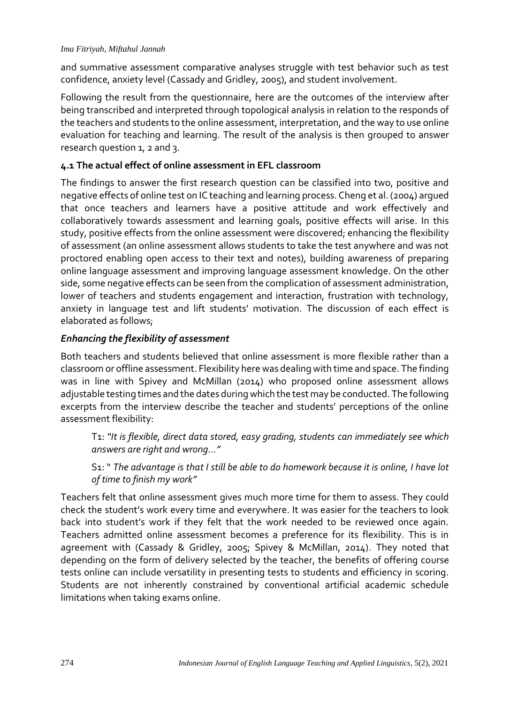and summative assessment comparative analyses struggle with test behavior such as test confidence, anxiety level (Cassady and Gridley, 2005), and student involvement.

Following the result from the questionnaire, here are the outcomes of the interview after being transcribed and interpreted through topological analysis in relation to the responds of the teachers and students to the online assessment, interpretation, and the way to use online evaluation for teaching and learning. The result of the analysis is then grouped to answer research question 1, 2 and 3.

## **4.1 The actual effect of online assessment in EFL classroom**

The findings to answer the first research question can be classified into two, positive and negative effects of online test on IC teaching and learning process. Cheng et al. (2004) argued that once teachers and learners have a positive attitude and work effectively and collaboratively towards assessment and learning goals, positive effects will arise. In this study, positive effects from the online assessment were discovered; enhancing the flexibility of assessment (an online assessment allows students to take the test anywhere and was not proctored enabling open access to their text and notes), building awareness of preparing online language assessment and improving language assessment knowledge. On the other side, some negative effects can be seen from the complication of assessment administration, lower of teachers and students engagement and interaction, frustration with technology, anxiety in language test and lift students' motivation. The discussion of each effect is elaborated as follows;

#### *Enhancing the flexibility of assessment*

Both teachers and students believed that online assessment is more flexible rather than a classroom or offline assessment. Flexibility here was dealing with time and space. The finding was in line with Spivey and McMillan (2014) who proposed online assessment allows adjustable testing times and the dates during which the test may be conducted. The following excerpts from the interview describe the teacher and students' perceptions of the online assessment flexibility:

T1: *"It is flexible, direct data stored, easy grading, students can immediately see which answers are right and wrong..."* 

S1: " *The advantage is that I still be able to do homework because it is online, I have lot of time to finish my work"*

Teachers felt that online assessment gives much more time for them to assess. They could check the student's work every time and everywhere. It was easier for the teachers to look back into student's work if they felt that the work needed to be reviewed once again. Teachers admitted online assessment becomes a preference for its flexibility. This is in agreement with (Cassady & Gridley, 2005; Spivey & McMillan, 2014). They noted that depending on the form of delivery selected by the teacher, the benefits of offering course tests online can include versatility in presenting tests to students and efficiency in scoring. Students are not inherently constrained by conventional artificial academic schedule limitations when taking exams online.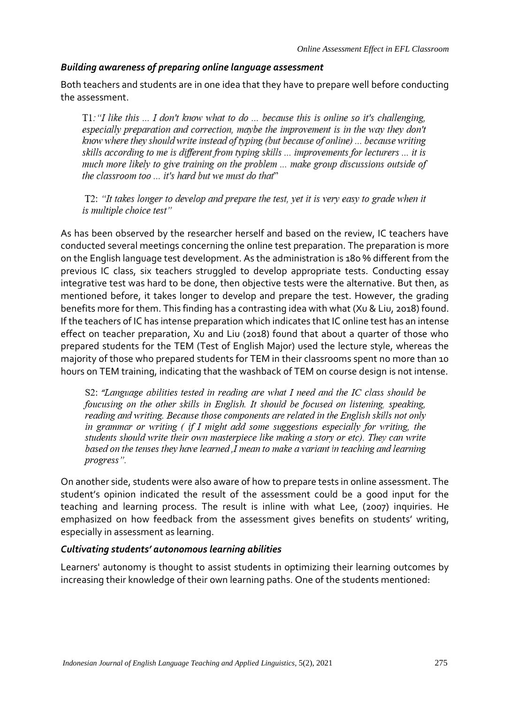#### *Building awareness of preparing online language assessment*

Both teachers and students are in one idea that they have to prepare well before conducting the assessment.

T1: "I like this ... I don't know what to do ... because this is online so it's challenging, especially preparation and correction, maybe the improvement is in the way they don't know where they should write instead of typing (but because of online) ... because writing skills according to me is different from typing skills ... improvements for lecturers ... it is much more likely to give training on the problem ... make group discussions outside of the classroom too ... it's hard but we must do that"

T2: "It takes longer to develop and prepare the test, yet it is very easy to grade when it is multiple choice test"

As has been observed by the researcher herself and based on the review, IC teachers have conducted several meetings concerning the online test preparation. The preparation is more on the English language test development. As the administration is 180 % different from the previous IC class, six teachers struggled to develop appropriate tests. Conducting essay integrative test was hard to be done, then objective tests were the alternative. But then, as mentioned before, it takes longer to develop and prepare the test. However, the grading benefits more for them. This finding has a contrasting idea with what (Xu & Liu, 2018) found. If the teachers of IC has intense preparation which indicates that IC online test has an intense effect on teacher preparation, Xu and Liu (2018) found that about a quarter of those who prepared students for the TEM (Test of English Major) used the lecture style, whereas the majority of those who prepared students for TEM in their classrooms spent no more than 10 hours on TEM training, indicating that the washback of TEM on course design is not intense.

S2: "Language abilities tested in reading are what I need and the IC class should be foucusing on the other skills in English. It should be focused on listening, speaking, reading and writing. Because those components are related in the English skills not only in grammar or writing  $\ell$  if I might add some suggestions especially for writing, the students should write their own masterpiece like making a story or etc). They can write based on the tenses they have learned J mean to make a variant in teaching and learning progress".

On another side, students were also aware of how to prepare tests in online assessment. The student's opinion indicated the result of the assessment could be a good input for the teaching and learning process. The result is inline with what Lee, (2007) inquiries. He emphasized on how feedback from the assessment gives benefits on students' writing, especially in assessment as learning.

#### *Cultivating students' autonomous learning abilities*

Learners' autonomy is thought to assist students in optimizing their learning outcomes by increasing their knowledge of their own learning paths. One of the students mentioned: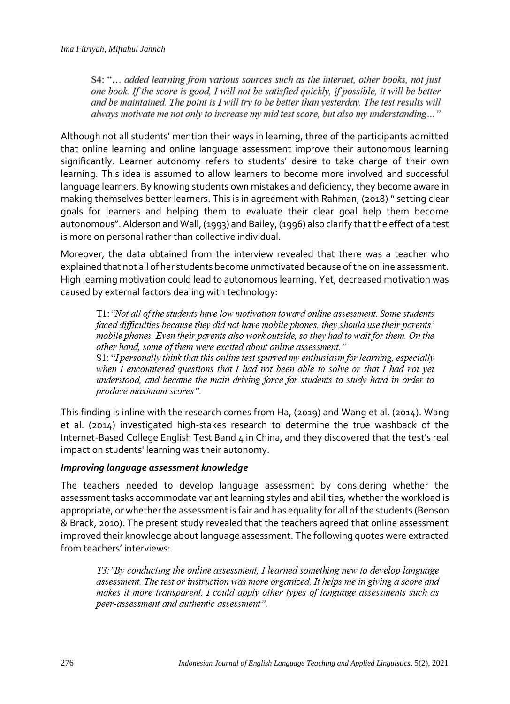S4: "... added learning from various sources such as the internet, other books, not just one book. If the score is good, I will not be satisfied quickly, if possible, it will be better and be maintained. The point is I will try to be better than yesterday. The test results will always motivate me not only to increase my mid test score, but also my understanding..."

Although not all students' mention their ways in learning, three of the participants admitted that online learning and online language assessment improve their autonomous learning significantly. Learner autonomy refers to students' desire to take charge of their own learning. This idea is assumed to allow learners to become more involved and successful language learners. By knowing students own mistakes and deficiency, they become aware in making themselves better learners. This is in agreement with Rahman, (2018) " setting clear goals for learners and helping them to evaluate their clear goal help them become autonomous". Alderson and Wall, (1993) and Bailey, (1996) also clarify that the effect of a test is more on personal rather than collective individual.

Moreover, the data obtained from the interview revealed that there was a teacher who explained that not all of her students become unmotivated because of the online assessment. High learning motivation could lead to autonomous learning. Yet, decreased motivation was caused by external factors dealing with technology:

T1: "Not all of the students have low motivation toward online assessment. Some students faced difficulties because they did not have mobile phones, they should use their parents' mobile phones. Even their parents also work outside, so they had to wait for them. On the other hand, some of them were excited about online assessment." S1: "I personally think that this online test spurred my enthusiasm for learning, especially when I encountered questions that I had not been able to solve or that I had not vet understood, and became the main driving force for students to study hard in order to produce maximum scores".

This finding is inline with the research comes from Ha, (2019) and Wang et al. (2014). Wang et al. (2014) investigated high-stakes research to determine the true washback of the Internet-Based College English Test Band 4 in China, and they discovered that the test's real impact on students' learning was their autonomy.

# *Improving language assessment knowledge*

The teachers needed to develop language assessment by considering whether the assessment tasks accommodate variant learning styles and abilities, whether the workload is appropriate, or whether the assessment is fair and has equality for all of the students (Benson & Brack, 2010). The present study revealed that the teachers agreed that online assessment improved their knowledge about language assessment. The following quotes were extracted from teachers' interviews:

T3: "By conducting the online assessment, I learned something new to develop language assessment. The test or instruction was more organized. It helps me in giving a score and makes it more transparent. I could apply other types of language assessments such as peer-assessment and authentic assessment".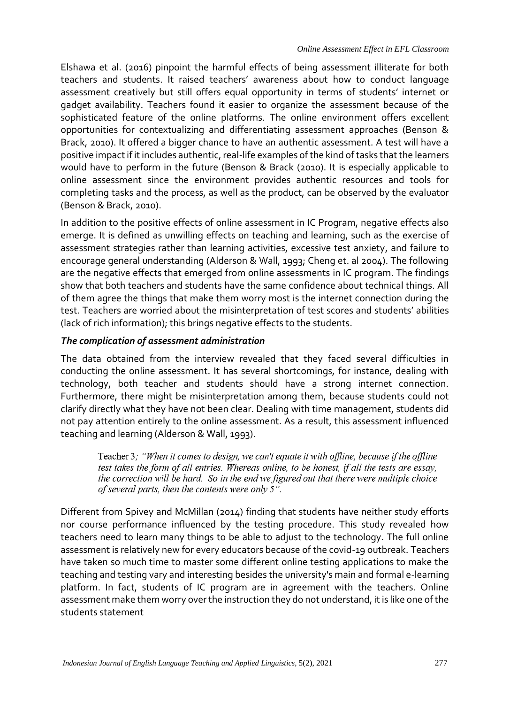Elshawa et al. (2016) pinpoint the harmful effects of being assessment illiterate for both teachers and students. It raised teachers' awareness about how to conduct language assessment creatively but still offers equal opportunity in terms of students' internet or gadget availability. Teachers found it easier to organize the assessment because of the sophisticated feature of the online platforms. The online environment offers excellent opportunities for contextualizing and differentiating assessment approaches (Benson & Brack, 2010). It offered a bigger chance to have an authentic assessment. A test will have a positive impact if it includes authentic, real-life examples of the kind of tasks that the learners would have to perform in the future (Benson & Brack (2010). It is especially applicable to online assessment since the environment provides authentic resources and tools for completing tasks and the process, as well as the product, can be observed by the evaluator (Benson & Brack, 2010).

In addition to the positive effects of online assessment in IC Program, negative effects also emerge. It is defined as unwilling effects on teaching and learning, such as the exercise of assessment strategies rather than learning activities, excessive test anxiety, and failure to encourage general understanding (Alderson & Wall, 1993; Cheng et. al 2004). The following are the negative effects that emerged from online assessments in IC program. The findings show that both teachers and students have the same confidence about technical things. All of them agree the things that make them worry most is the internet connection during the test. Teachers are worried about the misinterpretation of test scores and students' abilities (lack of rich information); this brings negative effects to the students.

# *The complication of assessment administration*

The data obtained from the interview revealed that they faced several difficulties in conducting the online assessment. It has several shortcomings, for instance, dealing with technology, both teacher and students should have a strong internet connection. Furthermore, there might be misinterpretation among them, because students could not clarify directly what they have not been clear. Dealing with time management, students did not pay attention entirely to the online assessment. As a result, this assessment influenced teaching and learning (Alderson & Wall, 1993).

Teacher 3; "When it comes to design, we can't equate it with offline, because if the offline test takes the form of all entries. Whereas online, to be honest, if all the tests are essay, the correction will be hard. So in the end we figured out that there were multiple choice of several parts, then the contents were only 5".

Different from Spivey and McMillan (2014) finding that students have neither study efforts nor course performance influenced by the testing procedure. This study revealed how teachers need to learn many things to be able to adjust to the technology. The full online assessment is relatively new for every educators because of the covid-19 outbreak. Teachers have taken so much time to master some different online testing applications to make the teaching and testing vary and interesting besides the university's main and formal e-learning platform. In fact, students of IC program are in agreement with the teachers. Online assessment make them worry over the instruction they do not understand, it is like one of the students statement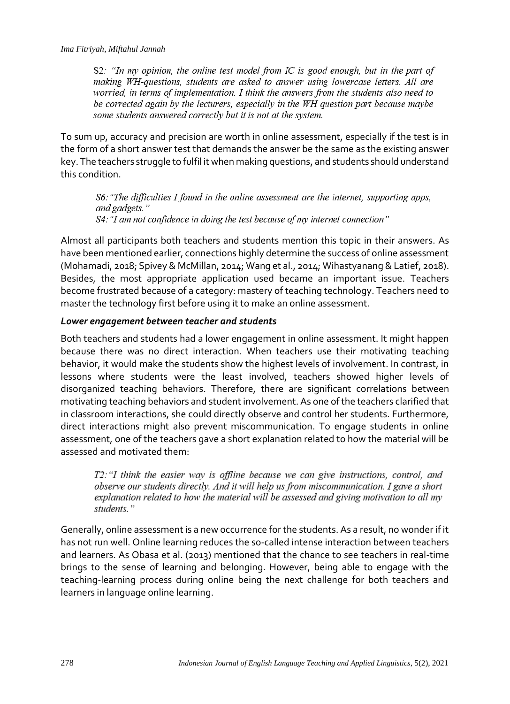S2: "In my opinion, the online test model from IC is good enough, but in the part of making WH-questions, students are asked to answer using lowercase letters. All are worried, in terms of implementation. I think the answers from the students also need to be corrected again by the lecturers, especially in the WH question part because maybe some students answered correctly but it is not at the system.

To sum up, accuracy and precision are worth in online assessment, especially if the test is in the form of a short answer test that demands the answer be the same as the existing answer key. The teachers struggle to fulfil it when making questions, and students should understand this condition.

S6: "The difficulties I found in the online assessment are the internet, supporting apps, and gadgets." S4: "I am not confidence in doing the test because of my internet connection"

Almost all participants both teachers and students mention this topic in their answers. As have been mentioned earlier, connections highly determine the success of online assessment (Mohamadi, 2018; Spivey & McMillan, 2014; Wang et al., 2014; Wihastyanang & Latief, 2018). Besides, the most appropriate application used became an important issue. Teachers become frustrated because of a category: mastery of teaching technology. Teachers need to master the technology first before using it to make an online assessment.

#### *Lower engagement between teacher and students*

Both teachers and students had a lower engagement in online assessment. It might happen because there was no direct interaction. When teachers use their motivating teaching behavior, it would make the students show the highest levels of involvement. In contrast, in lessons where students were the least involved, teachers showed higher levels of disorganized teaching behaviors. Therefore, there are significant correlations between motivating teaching behaviors and student involvement. As one of the teachers clarified that in classroom interactions, she could directly observe and control her students. Furthermore, direct interactions might also prevent miscommunication. To engage students in online assessment, one of the teachers gave a short explanation related to how the material will be assessed and motivated them:

T2: "I think the easier way is offline because we can give instructions, control, and observe our students directly. And it will help us from miscommunication. I gave a short explanation related to how the material will be assessed and giving motivation to all my students."

Generally, online assessment is a new occurrence for the students. As a result, no wonder if it has not run well. Online learning reduces the so-called intense interaction between teachers and learners. As Obasa et al. (2013) mentioned that the chance to see teachers in real-time brings to the sense of learning and belonging. However, being able to engage with the teaching-learning process during online being the next challenge for both teachers and learners in language online learning.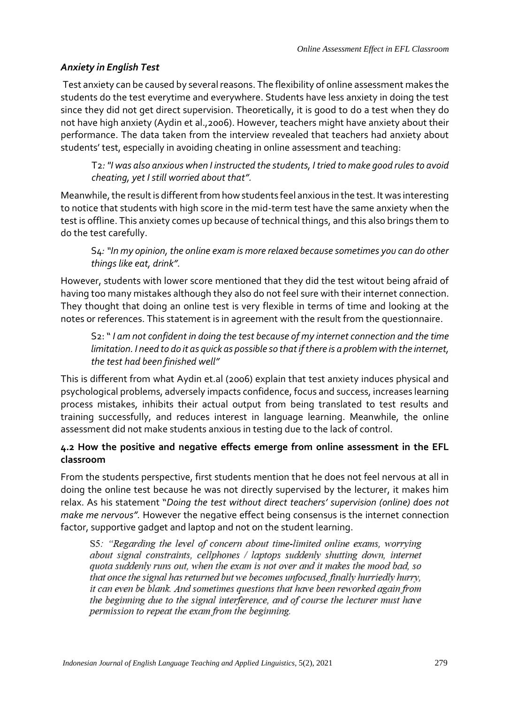# *Anxiety in English Test*

Test anxiety can be caused by several reasons. The flexibility of online assessment makes the students do the test everytime and everywhere. Students have less anxiety in doing the test since they did not get direct supervision. Theoretically, it is good to do a test when they do not have high anxiety (Aydin et al.,2006). However, teachers might have anxiety about their performance. The data taken from the interview revealed that teachers had anxiety about students' test, especially in avoiding cheating in online assessment and teaching:

T2*: "I was also anxious when I instructed the students, I tried to make good rules to avoid cheating, yet I still worried about that".*

Meanwhile, the result is different from how students feel anxious in the test. It was interesting to notice that students with high score in the mid-term test have the same anxiety when the test is offline. This anxiety comes up because of technical things, and this also brings them to do the test carefully.

S4*: "In my opinion, the online exam is more relaxed because sometimes you can do other things like eat, drink".*

However, students with lower score mentioned that they did the test witout being afraid of having too many mistakes although they also do not feel sure with their internet connection. They thought that doing an online test is very flexible in terms of time and looking at the notes or references. This statement is in agreement with the result from the questionnaire.

S2: " *I am not confident in doing the test because of my internet connection and the time limitation. I need to do it as quick as possible so that if there is a problem with the internet, the test had been finished well"*

This is different from what Aydin et.al (2006) explain that test anxiety induces physical and psychological problems, adversely impacts confidence, focus and success, increases learning process mistakes, inhibits their actual output from being translated to test results and training successfully, and reduces interest in language learning. Meanwhile, the online assessment did not make students anxious in testing due to the lack of control.

# **4.2 How the positive and negative effects emerge from online assessment in the EFL classroom**

From the students perspective, first students mention that he does not feel nervous at all in doing the online test because he was not directly supervised by the lecturer, it makes him relax. As his statement "*Doing the test without direct teachers' supervision (online) does not make me nervous".* However the negative effect being consensus is the internet connection factor, supportive gadget and laptop and not on the student learning.

S5: "Regarding the level of concern about time-limited online exams, worrying about signal constraints, cellphones / laptops suddenly shutting down, internet quota suddenly runs out, when the exam is not over and it makes the mood bad, so that once the signal has returned but we becomes unfocused, finally hurriedly hurry, it can even be blank. And sometimes questions that have been reworked again from the beginning due to the signal interference, and of course the lecturer must have permission to repeat the exam from the beginning.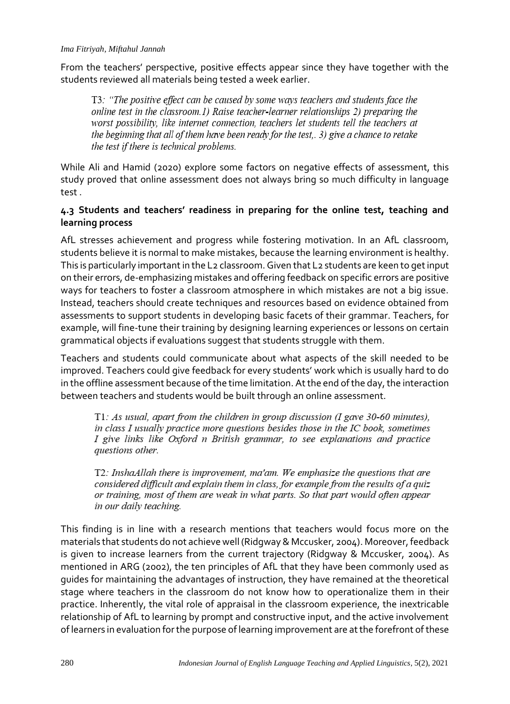#### *Ima Fitriyah, Miftahul Jannah*

From the teachers' perspective, positive effects appear since they have together with the students reviewed all materials being tested a week earlier.

T3: "The positive effect can be caused by some ways teachers and students face the online test in the classroom.1) Raise teacher-learner relationships 2) preparing the worst possibility, like internet connection, teachers let students tell the teachers at the beginning that all of them have been ready for the test,. 3) give a chance to retake the test if there is technical problems.

While Ali and Hamid (2020) explore some factors on negative effects of assessment, this study proved that online assessment does not always bring so much difficulty in language test .

# **4.3 Students and teachers' readiness in preparing for the online test, teaching and learning process**

AfL stresses achievement and progress while fostering motivation. In an AfL classroom, students believe it is normal to make mistakes, because the learning environment is healthy. This is particularly important in the L2 classroom. Given that L2 students are keen to get input on their errors, de-emphasizing mistakes and offering feedback on specific errors are positive ways for teachers to foster a classroom atmosphere in which mistakes are not a big issue. Instead, teachers should create techniques and resources based on evidence obtained from assessments to support students in developing basic facets of their grammar. Teachers, for example, will fine-tune their training by designing learning experiences or lessons on certain grammatical objects if evaluations suggest that students struggle with them.

Teachers and students could communicate about what aspects of the skill needed to be improved. Teachers could give feedback for every students' work which is usually hard to do in the offline assessment because of the time limitation. At the end of the day, the interaction between teachers and students would be built through an online assessment.

T1: As usual, apart from the children in group discussion (I gave 30-60 minutes), in class  $I$  usually practice more questions besides those in the  $IC$  book, sometimes I give links like Oxford n British grammar, to see explanations and practice questions other.

T2: InshaAllah there is improvement, ma'am. We emphasize the questions that are considered difficult and explain them in class, for example from the results of a quiz or training, most of them are weak in what parts. So that part would often appear in our daily teaching.

This finding is in line with a research mentions that teachers would focus more on the materials that students do not achieve well (Ridgway & Mccusker, 2004). Moreover,feedback is given to increase learners from the current trajectory (Ridgway & Mccusker, 2004). As mentioned in ARG (2002), the ten principles of AfL that they have been commonly used as guides for maintaining the advantages of instruction, they have remained at the theoretical stage where teachers in the classroom do not know how to operationalize them in their practice. Inherently, the vital role of appraisal in the classroom experience, the inextricable relationship of AfL to learning by prompt and constructive input, and the active involvement of learners in evaluation for the purpose of learning improvement are at the forefront of these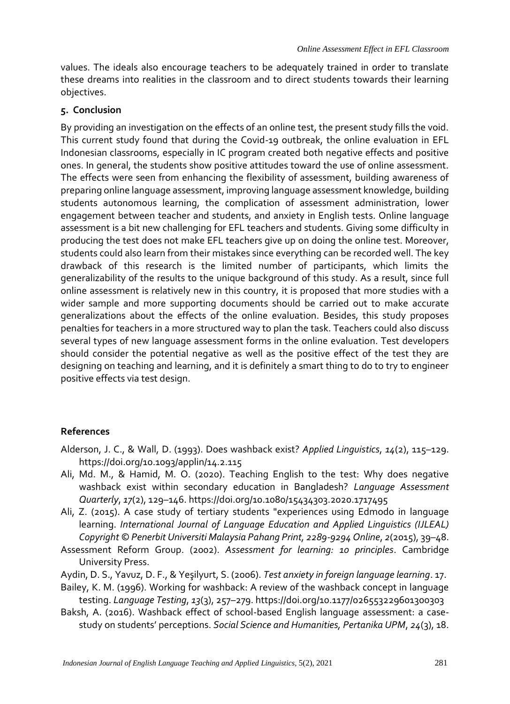values. The ideals also encourage teachers to be adequately trained in order to translate these dreams into realities in the classroom and to direct students towards their learning objectives.

# **5. Conclusion**

By providing an investigation on the effects of an online test, the present study fills the void. This current study found that during the Covid-19 outbreak, the online evaluation in EFL Indonesian classrooms, especially in IC program created both negative effects and positive ones. In general, the students show positive attitudes toward the use of online assessment. The effects were seen from enhancing the flexibility of assessment, building awareness of preparing online language assessment, improving language assessment knowledge, building students autonomous learning, the complication of assessment administration, lower engagement between teacher and students, and anxiety in English tests. Online language assessment is a bit new challenging for EFL teachers and students. Giving some difficulty in producing the test does not make EFL teachers give up on doing the online test. Moreover, students could also learn from their mistakes since everything can be recorded well. The key drawback of this research is the limited number of participants, which limits the generalizability of the results to the unique background of this study. As a result, since full online assessment is relatively new in this country, it is proposed that more studies with a wider sample and more supporting documents should be carried out to make accurate generalizations about the effects of the online evaluation. Besides, this study proposes penalties for teachers in a more structured way to plan the task. Teachers could also discuss several types of new language assessment forms in the online evaluation. Test developers should consider the potential negative as well as the positive effect of the test they are designing on teaching and learning, and it is definitely a smart thing to do to try to engineer positive effects via test design.

# **References**

- Alderson, J. C., & Wall, D. (1993). Does washback exist? *Applied Linguistics*, *14*(2), 115–129. https://doi.org/10.1093/applin/14.2.115
- Ali, Md. M., & Hamid, M. O. (2020). Teaching English to the test: Why does negative washback exist within secondary education in Bangladesh? *Language Assessment Quarterly*, *17*(2), 129–146. https://doi.org/10.1080/15434303.2020.1717495
- Ali, Z. (2015). A case study of tertiary students "experiences using Edmodo in language learning. *International Journal of Language Education and Applied Linguistics (IJLEAL) Copyright © Penerbit Universiti Malaysia Pahang Print, 2289-9294 Online*, *2*(2015), 39–48.
- Assessment Reform Group. (2002). *Assessment for learning: 10 principles*. Cambridge University Press.
- Aydin, D. S., Yavuz, D. F., & Yeşilyurt, S. (2006). *Test anxiety in foreign language learning*. 17.
- Bailey, K. M. (1996). Working for washback: A review of the washback concept in language testing. *Language Testing*, *13*(3), 257–279. https://doi.org/10.1177/026553229601300303
- Baksh, A. (2016). Washback effect of school-based English language assessment: a casestudy on students' perceptions. *Social Science and Humanities, Pertanika UPM*, *24*(3), 18.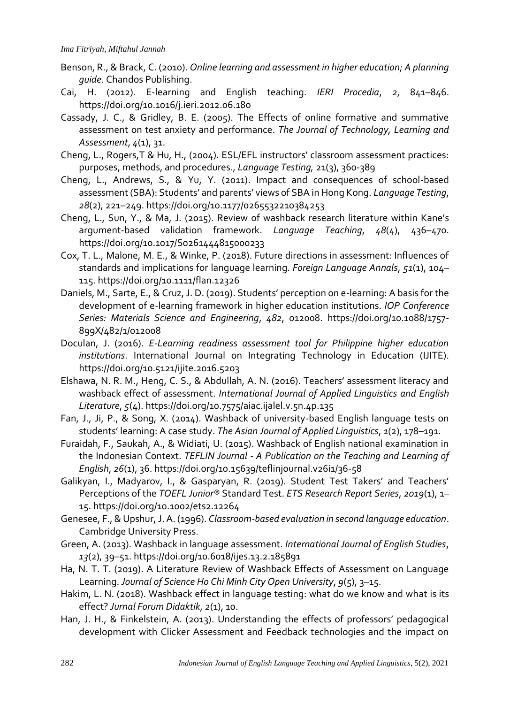- Benson, R., & Brack, C. (2010). *Online learning and assessment in higher education; A planning guide*. Chandos Publishing.
- Cai, H. (2012). E-learning and English teaching. *IERI Procedia*, *2*, 841–846. https://doi.org/10.1016/j.ieri.2012.06.180
- Cassady, J. C., & Gridley, B. E. (2005). The Effects of online formative and summative assessment on test anxiety and performance. *The Journal of Technology, Learning and Assessment*, *4*(1), 31.
- Cheng, L., Rogers,T & Hu, H., (2004). ESL/EFL instructors' classroom assessment practices: purposes, methods, and procedures., *Language Testing,* 21(3), 360-389
- Cheng, L., Andrews, S., & Yu, Y. (2011). Impact and consequences of school-based assessment (SBA): Students' and parents' views of SBA in Hong Kong. *Language Testing*, *28*(2), 221–249. https://doi.org/10.1177/0265532210384253
- Cheng, L., Sun, Y., & Ma, J. (2015). Review of washback research literature within Kane's argument-based validation framework. *Language Teaching*, *48*(4), 436–470. https://doi.org/10.1017/S0261444815000233
- Cox, T. L., Malone, M. E., & Winke, P. (2018). Future directions in assessment: Influences of standards and implications for language learning. *Foreign Language Annals*, *51*(1), 104– 115. https://doi.org/10.1111/flan.12326
- Daniels, M., Sarte, E., & Cruz, J. D. (2019). Students' perception on e-learning: A basis for the development of e-learning framework in higher education institutions. *IOP Conference Series: Materials Science and Engineering*, *482*, 012008. https://doi.org/10.1088/1757- 899X/482/1/012008
- Doculan, J. (2016). *E-Learning readiness assessment tool for Philippine higher education institutions*. International Journal on Integrating Technology in Education (IJITE). https://doi.org/10.5121/ijite.2016.5203
- Elshawa, N. R. M., Heng, C. S., & Abdullah, A. N. (2016). Teachers' assessment literacy and washback effect of assessment. *International Journal of Applied Linguistics and English Literature*, *5*(4). https://doi.org/10.7575/aiac.ijalel.v.5n.4p.135
- Fan, J., Ji, P., & Song, X. (2014). Washback of university-based English language tests on students' learning: A case study. *The Asian Journal of Applied Linguistics*, *1*(2), 178–191.
- Furaidah, F., Saukah, A., & Widiati, U. (2015). Washback of English national examination in the Indonesian Context. *TEFLIN Journal - A Publication on the Teaching and Learning of English*, *26*(1), 36. https://doi.org/10.15639/teflinjournal.v26i1/36-58
- Galikyan, I., Madyarov, I., & Gasparyan, R. (2019). Student Test Takers' and Teachers' Perceptions of the *TOEFL Junior®* Standard Test. *ETS Research Report Series*, *2019*(1), 1– 15. https://doi.org/10.1002/ets2.12264
- Genesee, F., & Upshur, J. A. (1996). *Classroom-based evaluation in second language education*. Cambridge University Press.
- Green, A. (2013). Washback in language assessment. *International Journal of English Studies*, *13*(2), 39–51. https://doi.org/10.6018/ijes.13.2.185891
- Ha, N. T. T. (2019). A Literature Review of Washback Effects of Assessment on Language Learning. *Journal of Science Ho Chi Minh City Open University*, *9*(5), 3–15.
- Hakim, L. N. (2018). Washback effect in language testing: what do we know and what is its effect? *Jurnal Forum Didaktik*, *2*(1), 10.
- Han, J. H., & Finkelstein, A. (2013). Understanding the effects of professors' pedagogical development with Clicker Assessment and Feedback technologies and the impact on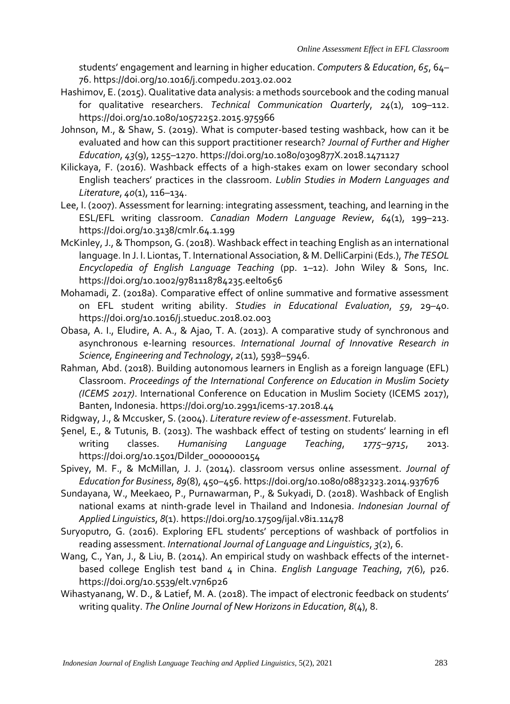students' engagement and learning in higher education. *Computers & Education*, *65*, 64– 76. https://doi.org/10.1016/j.compedu.2013.02.002

- Hashimov, E. (2015). Qualitative data analysis: a methods sourcebook and the coding manual for qualitative researchers. *Technical Communication Quarterly*, *24*(1), 109–112. https://doi.org/10.1080/10572252.2015.975966
- Johnson, M., & Shaw, S. (2019). What is computer-based testing washback, how can it be evaluated and how can this support practitioner research? *Journal of Further and Higher Education*, *43*(9), 1255–1270. https://doi.org/10.1080/0309877X.2018.1471127
- Kilickaya, F. (2016). Washback effects of a high-stakes exam on lower secondary school English teachers' practices in the classroom. *Lublin Studies in Modern Languages and Literature*, *40*(1), 116–134.
- Lee, I. (2007). Assessment for learning: integrating assessment, teaching, and learning in the ESL/EFL writing classroom. *Canadian Modern Language Review*, *64*(1), 199–213. https://doi.org/10.3138/cmlr.64.1.199
- McKinley, J., & Thompson, G. (2018). Washback effect in teaching English as an international language. In J. I. Liontas, T. International Association, & M. DelliCarpini (Eds.), *The TESOL Encyclopedia of English Language Teaching* (pp. 1–12). John Wiley & Sons, Inc. https://doi.org/10.1002/9781118784235.eelt0656
- Mohamadi, Z. (2018a). Comparative effect of online summative and formative assessment on EFL student writing ability. *Studies in Educational Evaluation*, *59*, 29–40. https://doi.org/10.1016/j.stueduc.2018.02.003
- Obasa, A. I., Eludire, A. A., & Ajao, T. A. (2013). A comparative study of synchronous and asynchronous e-learning resources. *International Journal of Innovative Research in Science, Engineering and Technology*, *2*(11), 5938–5946.
- Rahman, Abd. (2018). Building autonomous learners in English as a foreign language (EFL) Classroom. *Proceedings of the International Conference on Education in Muslim Society (ICEMS 2017)*. International Conference on Education in Muslim Society (ICEMS 2017), Banten, Indonesia. https://doi.org/10.2991/icems-17.2018.44
- Ridgway, J., & Mccusker, S. (2004). *Literature review of e-assessment*. Futurelab.
- Şenel, E., & Tutunis, B. (2013). The washback effect of testing on students' learning in efl writing classes. *Humanising Language Teaching*, *1775–9715*, 2013. https://doi.org/10.1501/Dilder\_0000000154
- Spivey, M. F., & McMillan, J. J. (2014). classroom versus online assessment. *Journal of Education for Business*, *89*(8), 450–456. https://doi.org/10.1080/08832323.2014.937676
- Sundayana, W., Meekaeo, P., Purnawarman, P., & Sukyadi, D. (2018). Washback of English national exams at ninth-grade level in Thailand and Indonesia. *Indonesian Journal of Applied Linguistics*, *8*(1). https://doi.org/10.17509/ijal.v8i1.11478
- Suryoputro, G. (2016). Exploring EFL students' perceptions of washback of portfolios in reading assessment. *International Journal of Language and Linguistics*, *3*(2), 6.
- Wang, C., Yan, J., & Liu, B. (2014). An empirical study on washback effects of the internetbased college English test band 4 in China. *English Language Teaching*, *7*(6), p26. https://doi.org/10.5539/elt.v7n6p26
- Wihastyanang, W. D., & Latief, M. A. (2018). The impact of electronic feedback on students' writing quality. *The Online Journal of New Horizons in Education*, *8*(4), 8.